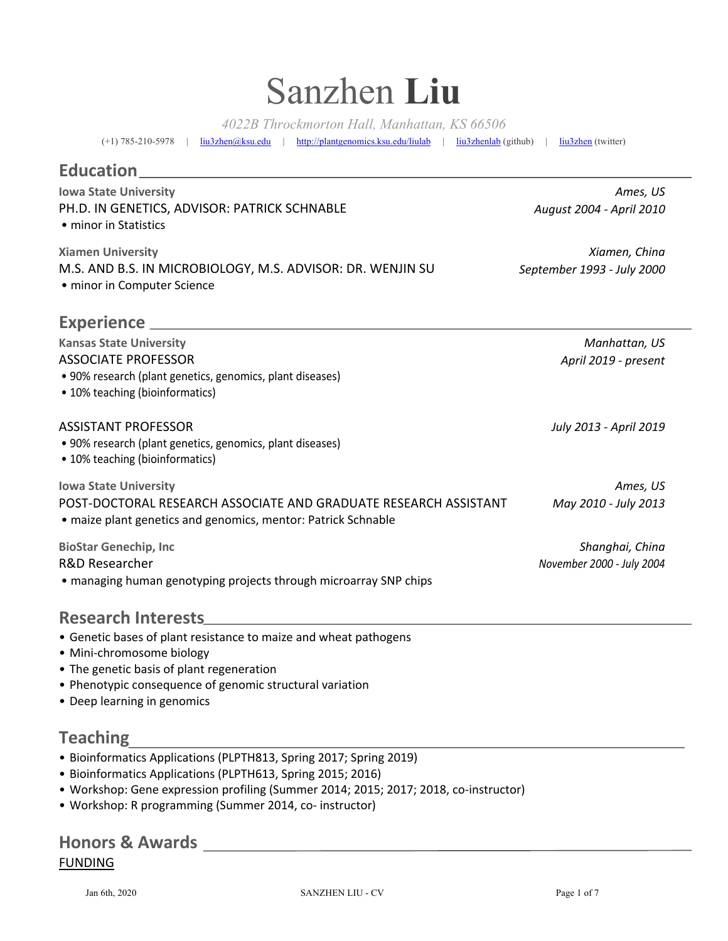# Sanzhen **Liu**

*4022B Throckmorton Hall, Manhattan, KS 66506*

(+1) 785-210-5978 | liu3zhen@ksu.edu | http://plantgenomics.ksu.edu/liulab | liu3zhenlab (github) | liu3zhen (twitter)

### **Education**

| <b>Iowa State University</b><br>PH.D. IN GENETICS, ADVISOR: PATRICK SCHNABLE<br>• minor in Statistics                                                             | Ames, US<br>August 2004 - April 2010         |
|-------------------------------------------------------------------------------------------------------------------------------------------------------------------|----------------------------------------------|
| <b>Xiamen University</b><br>M.S. AND B.S. IN MICROBIOLOGY, M.S. ADVISOR: DR. WENJIN SU<br>• minor in Computer Science                                             | Xiamen, China<br>September 1993 - July 2000  |
|                                                                                                                                                                   |                                              |
| <b>Kansas State University</b><br><b>ASSOCIATE PROFESSOR</b><br>• 90% research (plant genetics, genomics, plant diseases)<br>• 10% teaching (bioinformatics)      | Manhattan, US<br>April 2019 - present        |
| <b>ASSISTANT PROFESSOR</b><br>• 90% research (plant genetics, genomics, plant diseases)<br>• 10% teaching (bioinformatics)                                        | July 2013 - April 2019                       |
| <b>Iowa State University</b><br>POST-DOCTORAL RESEARCH ASSOCIATE AND GRADUATE RESEARCH ASSISTANT<br>· maize plant genetics and genomics, mentor: Patrick Schnable | Ames, US<br>May 2010 - July 2013             |
| <b>BioStar Genechip, Inc</b><br><b>R&amp;D Researcher</b><br>• managing human genotyping projects through microarray SNP chips                                    | Shanghai, China<br>November 2000 - July 2004 |
| <b>Research Interests</b>                                                                                                                                         |                                              |

- Genetic bases of plant resistance to maize and wheat pathogens
- Mini-chromosome biology
- The genetic basis of plant regeneration
- Phenotypic consequence of genomic structural variation
- Deep learning in genomics

# **Teaching**

- Bioinformatics Applications (PLPTH813, Spring 2017; Spring 2019)
- Bioinformatics Applications (PLPTH613, Spring 2015; 2016)
- Workshop: Gene expression profiling (Summer 2014; 2015; 2017; 2018, co-instructor)
- Workshop: R programming (Summer 2014, co- instructor)

# **Honors & Awards** FUNDING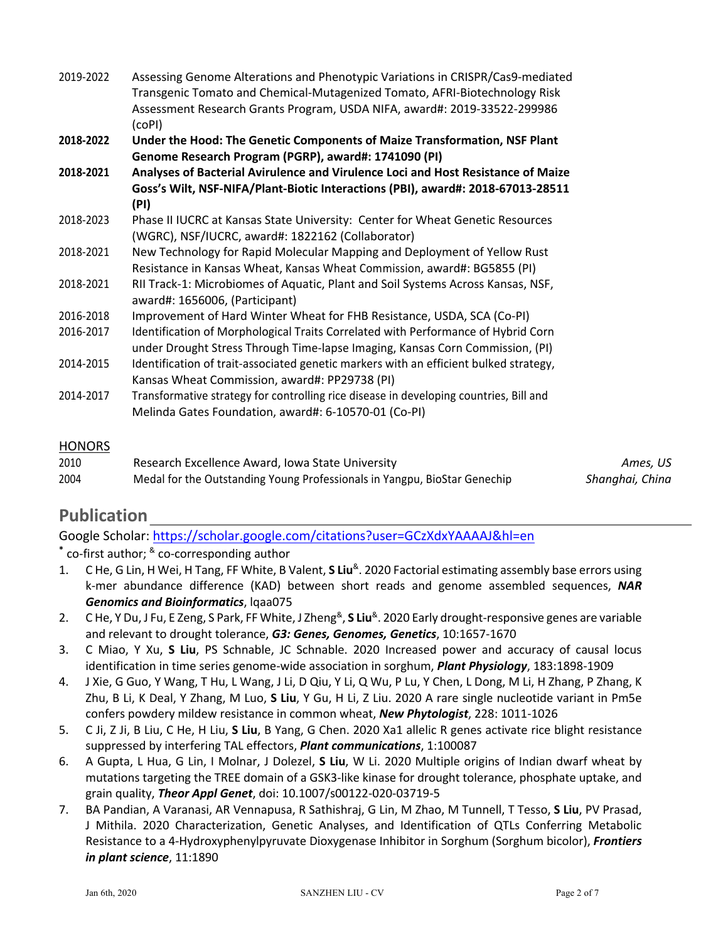| 2019-2022 | Assessing Genome Alterations and Phenotypic Variations in CRISPR/Cas9-mediated<br>Transgenic Tomato and Chemical-Mutagenized Tomato, AFRI-Biotechnology Risk<br>Assessment Research Grants Program, USDA NIFA, award#: 2019-33522-299986 |
|-----------|------------------------------------------------------------------------------------------------------------------------------------------------------------------------------------------------------------------------------------------|
| 2018-2022 | (coPI)<br>Under the Hood: The Genetic Components of Maize Transformation, NSF Plant<br>Genome Research Program (PGRP), award#: 1741090 (PI)                                                                                              |
| 2018-2021 | Analyses of Bacterial Avirulence and Virulence Loci and Host Resistance of Maize<br>Goss's Wilt, NSF-NIFA/Plant-Biotic Interactions (PBI), award#: 2018-67013-28511<br>(PI)                                                              |
| 2018-2023 | Phase II IUCRC at Kansas State University: Center for Wheat Genetic Resources<br>(WGRC), NSF/IUCRC, award#: 1822162 (Collaborator)                                                                                                       |
| 2018-2021 | New Technology for Rapid Molecular Mapping and Deployment of Yellow Rust<br>Resistance in Kansas Wheat, Kansas Wheat Commission, award#: BG5855 (PI)                                                                                     |
| 2018-2021 | RII Track-1: Microbiomes of Aquatic, Plant and Soil Systems Across Kansas, NSF,<br>award#: 1656006, (Participant)                                                                                                                        |
| 2016-2018 | Improvement of Hard Winter Wheat for FHB Resistance, USDA, SCA (Co-PI)                                                                                                                                                                   |
| 2016-2017 | Identification of Morphological Traits Correlated with Performance of Hybrid Corn<br>under Drought Stress Through Time-lapse Imaging, Kansas Corn Commission, (PI)                                                                       |
| 2014-2015 | Identification of trait-associated genetic markers with an efficient bulked strategy,<br>Kansas Wheat Commission, award#: PP29738 (PI)                                                                                                   |
| 2014-2017 | Transformative strategy for controlling rice disease in developing countries, Bill and<br>Melinda Gates Foundation, award#: 6-10570-01 (Co-PI)                                                                                           |

#### **HONORS**

| 2010 | Research Excellence Award, Iowa State University                          | Ames, US        |
|------|---------------------------------------------------------------------------|-----------------|
| 2004 | Medal for the Outstanding Young Professionals in Yangpu, BioStar Genechip | Shanghai, China |

#### **Publication**

Google Scholar: https://scholar.google.com/citations?user=GCzXdxYAAAAJ&hl=en **\*** co-first author; & co-corresponding author

- 1. C He, G Lin, H Wei, H Tang, FF White, B Valent, **S Liu**&. 2020 Factorial estimating assembly base errors using k-mer abundance difference (KAD) between short reads and genome assembled sequences, *NAR Genomics and Bioinformatics*, lqaa075
- 2. C He, Y Du, J Fu, E Zeng, S Park, FF White, J Zheng&, **S Liu**&. 2020 Early drought-responsive genes are variable and relevant to drought tolerance, *G3: Genes, Genomes, Genetics*, 10:1657-1670
- 3. C Miao, Y Xu, **S Liu**, PS Schnable, JC Schnable. 2020 Increased power and accuracy of causal locus identification in time series genome-wide association in sorghum, *Plant Physiology*, 183:1898-1909
- 4. J Xie, G Guo, Y Wang, T Hu, L Wang, J Li, D Qiu, Y Li, Q Wu, P Lu, Y Chen, L Dong, M Li, H Zhang, P Zhang, K Zhu, B Li, K Deal, Y Zhang, M Luo, **S Liu**, Y Gu, H Li, Z Liu. 2020 A rare single nucleotide variant in Pm5e confers powdery mildew resistance in common wheat, *New Phytologist*, 228: 1011-1026
- 5. C Ji, Z Ji, B Liu, C He, H Liu, **S Liu**, B Yang, G Chen. 2020 Xa1 allelic R genes activate rice blight resistance suppressed by interfering TAL effectors, *Plant communications*, 1:100087
- 6. A Gupta, L Hua, G Lin, I Molnar, J Dolezel, **S Liu**, W Li. 2020 Multiple origins of Indian dwarf wheat by mutations targeting the TREE domain of a GSK3-like kinase for drought tolerance, phosphate uptake, and grain quality, *Theor Appl Genet*, doi: 10.1007/s00122-020-03719-5
- 7. BA Pandian, A Varanasi, AR Vennapusa, R Sathishraj, G Lin, M Zhao, M Tunnell, T Tesso, **S Liu**, PV Prasad, J Mithila. 2020 Characterization, Genetic Analyses, and Identification of QTLs Conferring Metabolic Resistance to a 4-Hydroxyphenylpyruvate Dioxygenase Inhibitor in Sorghum (Sorghum bicolor), *Frontiers in plant science*, 11:1890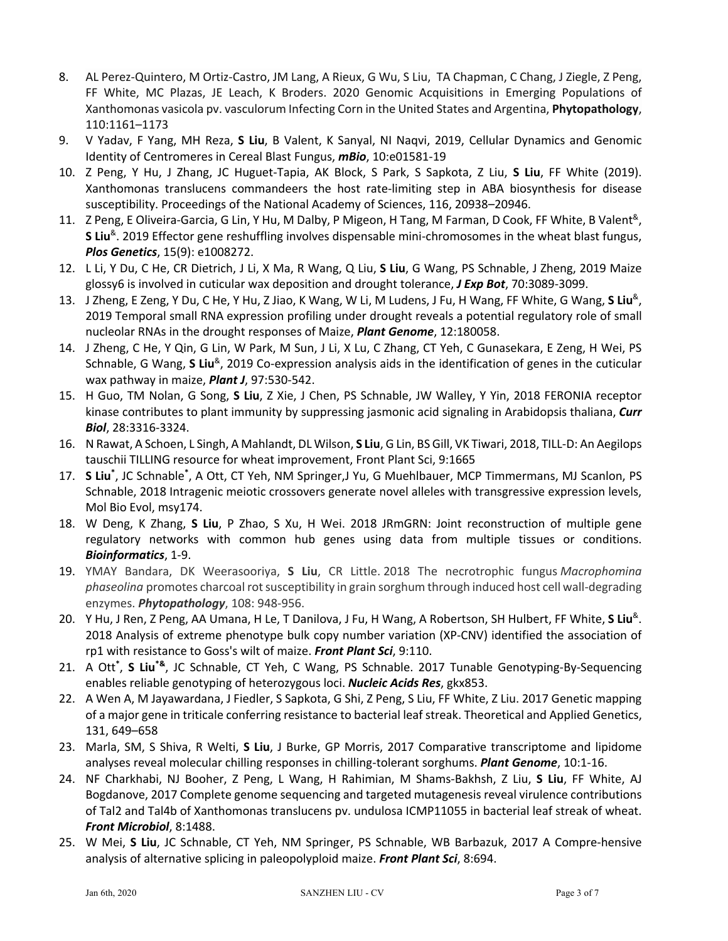- 8. AL Perez-Quintero, M Ortiz-Castro, JM Lang, A Rieux, G Wu, S Liu, TA Chapman, C Chang, J Ziegle, Z Peng, FF White, MC Plazas, JE Leach, K Broders. 2020 Genomic Acquisitions in Emerging Populations of Xanthomonas vasicola pv. vasculorum Infecting Corn in the United States and Argentina, **Phytopathology**, 110:1161–1173
- 9. V Yadav, F Yang, MH Reza, **S Liu**, B Valent, K Sanyal, NI Naqvi, 2019, Cellular Dynamics and Genomic Identity of Centromeres in Cereal Blast Fungus, *mBio*, 10:e01581-19
- 10. Z Peng, Y Hu, J Zhang, JC Huguet-Tapia, AK Block, S Park, S Sapkota, Z Liu, **S Liu**, FF White (2019). Xanthomonas translucens commandeers the host rate-limiting step in ABA biosynthesis for disease susceptibility. Proceedings of the National Academy of Sciences, 116, 20938–20946.
- 11. Z Peng, E Oliveira-Garcia, G Lin, Y Hu, M Dalby, P Migeon, H Tang, M Farman, D Cook, FF White, B Valent<sup>&</sup>, **S Liu**&. 2019 Effector gene reshuffling involves dispensable mini-chromosomes in the wheat blast fungus, *Plos Genetics*, 15(9): e1008272.
- 12. L Li, Y Du, C He, CR Dietrich, J Li, X Ma, R Wang, Q Liu, **S Liu**, G Wang, PS Schnable, J Zheng, 2019 Maize glossy6 is involved in cuticular wax deposition and drought tolerance, *J Exp Bot*, 70:3089-3099.
- 13. J Zheng, E Zeng, Y Du, C He, Y Hu, Z Jiao, K Wang, W Li, M Ludens, J Fu, H Wang, FF White, G Wang, **S Liu**&, 2019 Temporal small RNA expression profiling under drought reveals a potential regulatory role of small nucleolar RNAs in the drought responses of Maize, *Plant Genome*, 12:180058.
- 14. J Zheng, C He, Y Qin, G Lin, W Park, M Sun, J Li, X Lu, C Zhang, CT Yeh, C Gunasekara, E Zeng, H Wei, PS Schnable, G Wang, S Liu<sup>&</sup>, 2019 Co-expression analysis aids in the identification of genes in the cuticular wax pathway in maize, *Plant J*, 97:530-542.
- 15. H Guo, TM Nolan, G Song, **S Liu**, Z Xie, J Chen, PS Schnable, JW Walley, Y Yin, 2018 FERONIA receptor kinase contributes to plant immunity by suppressing jasmonic acid signaling in Arabidopsis thaliana, *Curr Biol*, 28:3316-3324.
- 16. N Rawat, A Schoen, L Singh, A Mahlandt, DL Wilson, **S Liu**, G Lin, BS Gill, VK Tiwari, 2018, TILL-D: An Aegilops tauschii TILLING resource for wheat improvement, Front Plant Sci, 9:1665
- 17. SLiu<sup>\*</sup>, JC Schnable<sup>\*</sup>, A Ott, CT Yeh, NM Springer,J Yu, G Muehlbauer, MCP Timmermans, MJ Scanlon, PS Schnable, 2018 Intragenic meiotic crossovers generate novel alleles with transgressive expression levels, Mol Bio Evol, msy174.
- 18. W Deng, K Zhang, **S Liu**, P Zhao, S Xu, H Wei. 2018 JRmGRN: Joint reconstruction of multiple gene regulatory networks with common hub genes using data from multiple tissues or conditions. *Bioinformatics*, 1-9.
- 19. YMAY Bandara, DK Weerasooriya, **S Liu**, CR Little. 2018 The necrotrophic fungus *Macrophomina phaseolina* promotes charcoal rot susceptibility in grain sorghum through induced host cell wall-degrading enzymes. *Phytopathology*, 108: 948-956.
- 20. Y Hu, J Ren, Z Peng, AA Umana, H Le, T Danilova, J Fu, H Wang, A Robertson, SH Hulbert, FF White, **S Liu**&. 2018 Analysis of extreme phenotype bulk copy number variation (XP-CNV) identified the association of rp1 with resistance to Goss's wilt of maize. *Front Plant Sci*, 9:110.
- 21. A Ott**\*** , **S Liu\*&**, JC Schnable, CT Yeh, C Wang, PS Schnable. 2017 Tunable Genotyping-By-Sequencing enables reliable genotyping of heterozygous loci. *Nucleic Acids Res*, gkx853.
- 22. A Wen A, M Jayawardana, J Fiedler, S Sapkota, G Shi, Z Peng, S Liu, FF White, Z Liu. 2017 Genetic mapping of a major gene in triticale conferring resistance to bacterial leaf streak. Theoretical and Applied Genetics, 131, 649–658
- 23. Marla, SM, S Shiva, R Welti, **S Liu**, J Burke, GP Morris, 2017 Comparative transcriptome and lipidome analyses reveal molecular chilling responses in chilling-tolerant sorghums. *Plant Genome*, 10:1-16.
- 24. NF Charkhabi, NJ Booher, Z Peng, L Wang, H Rahimian, M Shams-Bakhsh, Z Liu, **S Liu**, FF White, AJ Bogdanove, 2017 Complete genome sequencing and targeted mutagenesis reveal virulence contributions of Tal2 and Tal4b of Xanthomonas translucens pv. undulosa ICMP11055 in bacterial leaf streak of wheat. *Front Microbiol*, 8:1488.
- 25. W Mei, **S Liu**, JC Schnable, CT Yeh, NM Springer, PS Schnable, WB Barbazuk, 2017 A Compre-hensive analysis of alternative splicing in paleopolyploid maize. *Front Plant Sci*, 8:694.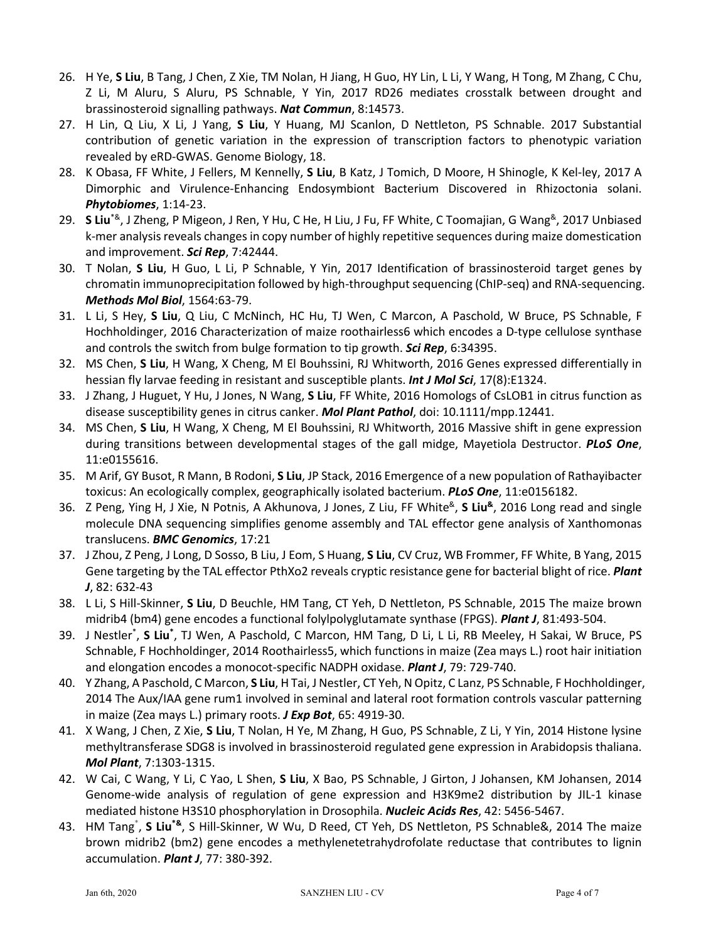- 26. H Ye, **S Liu**, B Tang, J Chen, Z Xie, TM Nolan, H Jiang, H Guo, HY Lin, L Li, Y Wang, H Tong, M Zhang, C Chu, Z Li, M Aluru, S Aluru, PS Schnable, Y Yin, 2017 RD26 mediates crosstalk between drought and brassinosteroid signalling pathways. *Nat Commun*, 8:14573.
- 27. H Lin, Q Liu, X Li, J Yang, **S Liu**, Y Huang, MJ Scanlon, D Nettleton, PS Schnable. 2017 Substantial contribution of genetic variation in the expression of transcription factors to phenotypic variation revealed by eRD-GWAS. Genome Biology, 18.
- 28. K Obasa, FF White, J Fellers, M Kennelly, **S Liu**, B Katz, J Tomich, D Moore, H Shinogle, K Kel-ley, 2017 A Dimorphic and Virulence-Enhancing Endosymbiont Bacterium Discovered in Rhizoctonia solani. *Phytobiomes*, 1:14-23.
- 29. **S Liu**\*&, J Zheng, P Migeon, J Ren, Y Hu, C He, H Liu, J Fu, FF White, C Toomajian, G Wang&, 2017 Unbiased k-mer analysis reveals changes in copy number of highly repetitive sequences during maize domestication and improvement. *Sci Rep*, 7:42444.
- 30. T Nolan, **S Liu**, H Guo, L Li, P Schnable, Y Yin, 2017 Identification of brassinosteroid target genes by chromatin immunoprecipitation followed by high-throughput sequencing (ChIP-seq) and RNA-sequencing. *Methods Mol Biol*, 1564:63-79.
- 31. L Li, S Hey, **S Liu**, Q Liu, C McNinch, HC Hu, TJ Wen, C Marcon, A Paschold, W Bruce, PS Schnable, F Hochholdinger, 2016 Characterization of maize roothairless6 which encodes a D-type cellulose synthase and controls the switch from bulge formation to tip growth. *Sci Rep*, 6:34395.
- 32. MS Chen, **S Liu**, H Wang, X Cheng, M El Bouhssini, RJ Whitworth, 2016 Genes expressed differentially in hessian fly larvae feeding in resistant and susceptible plants. *Int J Mol Sci*, 17(8):E1324.
- 33. J Zhang, J Huguet, Y Hu, J Jones, N Wang, **S Liu**, FF White, 2016 Homologs of CsLOB1 in citrus function as disease susceptibility genes in citrus canker. *Mol Plant Pathol*, doi: 10.1111/mpp.12441.
- 34. MS Chen, **S Liu**, H Wang, X Cheng, M El Bouhssini, RJ Whitworth, 2016 Massive shift in gene expression during transitions between developmental stages of the gall midge, Mayetiola Destructor. *PLoS One*, 11:e0155616.
- 35. M Arif, GY Busot, R Mann, B Rodoni, **S Liu**, JP Stack, 2016 Emergence of a new population of Rathayibacter toxicus: An ecologically complex, geographically isolated bacterium. *PLoS One*, 11:e0156182.
- 36. Z Peng, Ying H, J Xie, N Potnis, A Akhunova, J Jones, Z Liu, FF White&, **S Liu&**, 2016 Long read and single molecule DNA sequencing simplifies genome assembly and TAL effector gene analysis of Xanthomonas translucens. *BMC Genomics*, 17:21
- 37. J Zhou, Z Peng, J Long, D Sosso, B Liu, J Eom, S Huang, **S Liu**, CV Cruz, WB Frommer, FF White, B Yang, 2015 Gene targeting by the TAL effector PthXo2 reveals cryptic resistance gene for bacterial blight of rice. *Plant J*, 82: 632-43
- 38. L Li, S Hill-Skinner, **S Liu**, D Beuchle, HM Tang, CT Yeh, D Nettleton, PS Schnable, 2015 The maize brown midrib4 (bm4) gene encodes a functional folylpolyglutamate synthase (FPGS). *Plant J*, 81:493-504.
- 39. J Nestler<sup>\*</sup>, **S Liu**<sup>\*</sup>, TJ Wen, A Paschold, C Marcon, HM Tang, D Li, L Li, RB Meeley, H Sakai, W Bruce, PS Schnable, F Hochholdinger, 2014 Roothairless5, which functions in maize (Zea mays L.) root hair initiation and elongation encodes a monocot-specific NADPH oxidase. *Plant J*, 79: 729-740.
- 40. Y Zhang, A Paschold, C Marcon, **S Liu**, H Tai, J Nestler, CT Yeh, N Opitz, C Lanz, PS Schnable, F Hochholdinger, 2014 The Aux/IAA gene rum1 involved in seminal and lateral root formation controls vascular patterning in maize (Zea mays L.) primary roots. *J Exp Bot*, 65: 4919-30.
- 41. X Wang, J Chen, Z Xie, **S Liu**, T Nolan, H Ye, M Zhang, H Guo, PS Schnable, Z Li, Y Yin, 2014 Histone lysine methyltransferase SDG8 is involved in brassinosteroid regulated gene expression in Arabidopsis thaliana. *Mol Plant*, 7:1303-1315.
- 42. W Cai, C Wang, Y Li, C Yao, L Shen, **S Liu**, X Bao, PS Schnable, J Girton, J Johansen, KM Johansen, 2014 Genome-wide analysis of regulation of gene expression and H3K9me2 distribution by JIL-1 kinase mediated histone H3S10 phosphorylation in Drosophila. *Nucleic Acids Res*, 42: 5456-5467.
- 43. HM Tang\* , **S Liu\*&**, S Hill-Skinner, W Wu, D Reed, CT Yeh, DS Nettleton, PS Schnable&, 2014 The maize brown midrib2 (bm2) gene encodes a methylenetetrahydrofolate reductase that contributes to lignin accumulation. *Plant J*, 77: 380-392.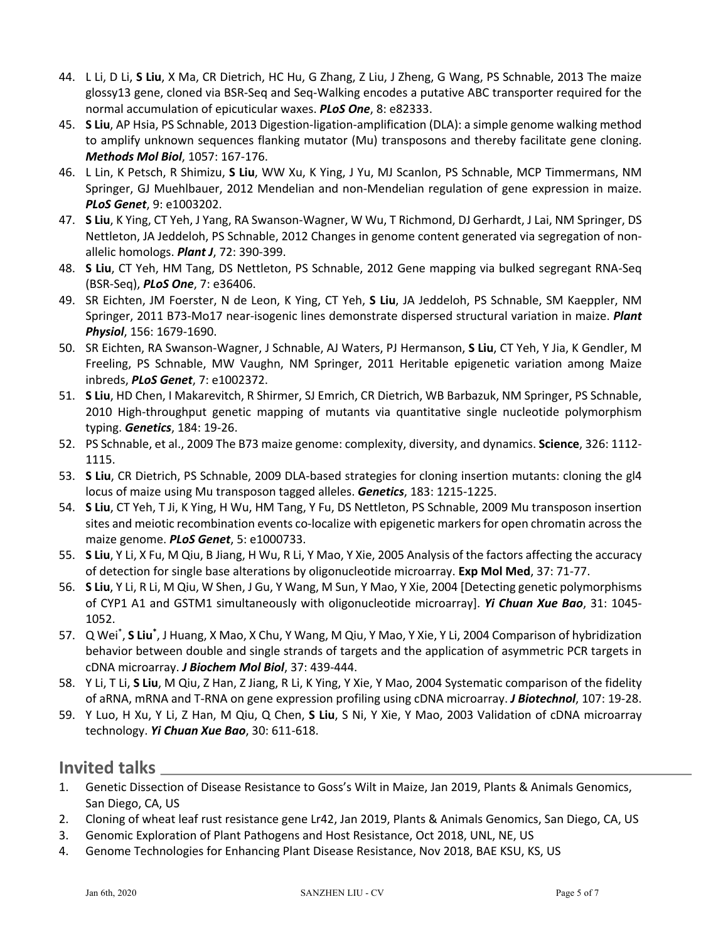- 44. L Li, D Li, **S Liu**, X Ma, CR Dietrich, HC Hu, G Zhang, Z Liu, J Zheng, G Wang, PS Schnable, 2013 The maize glossy13 gene, cloned via BSR-Seq and Seq-Walking encodes a putative ABC transporter required for the normal accumulation of epicuticular waxes. *PLoS One*, 8: e82333.
- 45. **S Liu**, AP Hsia, PS Schnable, 2013 Digestion-ligation-amplification (DLA): a simple genome walking method to amplify unknown sequences flanking mutator (Mu) transposons and thereby facilitate gene cloning. *Methods Mol Biol*, 1057: 167-176.
- 46. L Lin, K Petsch, R Shimizu, **S Liu**, WW Xu, K Ying, J Yu, MJ Scanlon, PS Schnable, MCP Timmermans, NM Springer, GJ Muehlbauer, 2012 Mendelian and non-Mendelian regulation of gene expression in maize. *PLoS Genet*, 9: e1003202.
- 47. **S Liu**, K Ying, CT Yeh, J Yang, RA Swanson-Wagner, W Wu, T Richmond, DJ Gerhardt, J Lai, NM Springer, DS Nettleton, JA Jeddeloh, PS Schnable, 2012 Changes in genome content generated via segregation of nonallelic homologs. *Plant J*, 72: 390-399.
- 48. **S Liu**, CT Yeh, HM Tang, DS Nettleton, PS Schnable, 2012 Gene mapping via bulked segregant RNA-Seq (BSR-Seq), *PLoS One*, 7: e36406.
- 49. SR Eichten, JM Foerster, N de Leon, K Ying, CT Yeh, **S Liu**, JA Jeddeloh, PS Schnable, SM Kaeppler, NM Springer, 2011 B73-Mo17 near-isogenic lines demonstrate dispersed structural variation in maize. *Plant Physiol*, 156: 1679-1690.
- 50. SR Eichten, RA Swanson-Wagner, J Schnable, AJ Waters, PJ Hermanson, **S Liu**, CT Yeh, Y Jia, K Gendler, M Freeling, PS Schnable, MW Vaughn, NM Springer, 2011 Heritable epigenetic variation among Maize inbreds, *PLoS Genet*, 7: e1002372.
- 51. **S Liu**, HD Chen, I Makarevitch, R Shirmer, SJ Emrich, CR Dietrich, WB Barbazuk, NM Springer, PS Schnable, 2010 High-throughput genetic mapping of mutants via quantitative single nucleotide polymorphism typing. *Genetics*, 184: 19-26.
- 52. PS Schnable, et al., 2009 The B73 maize genome: complexity, diversity, and dynamics. **Science**, 326: 1112- 1115.
- 53. **S Liu**, CR Dietrich, PS Schnable, 2009 DLA-based strategies for cloning insertion mutants: cloning the gl4 locus of maize using Mu transposon tagged alleles. *Genetics*, 183: 1215-1225.
- 54. **S Liu**, CT Yeh, T Ji, K Ying, H Wu, HM Tang, Y Fu, DS Nettleton, PS Schnable, 2009 Mu transposon insertion sites and meiotic recombination events co-localize with epigenetic markers for open chromatin across the maize genome. *PLoS Genet*, 5: e1000733.
- 55. **S Liu**, Y Li, X Fu, M Qiu, B Jiang, H Wu, R Li, Y Mao, Y Xie, 2005 Analysis of the factors affecting the accuracy of detection for single base alterations by oligonucleotide microarray. **Exp Mol Med**, 37: 71-77.
- 56. **S Liu**, Y Li, R Li, M Qiu, W Shen, J Gu, Y Wang, M Sun, Y Mao, Y Xie, 2004 [Detecting genetic polymorphisms of CYP1 A1 and GSTM1 simultaneously with oligonucleotide microarray]. *Yi Chuan Xue Bao*, 31: 1045- 1052.
- 57. Q Wei<sup>\*</sup>, S Liu<sup>\*</sup>, J Huang, X Mao, X Chu, Y Wang, M Qiu, Y Mao, Y Xie, Y Li, 2004 Comparison of hybridization behavior between double and single strands of targets and the application of asymmetric PCR targets in cDNA microarray. *J Biochem Mol Biol*, 37: 439-444.
- 58. Y Li, T Li, **S Liu**, M Qiu, Z Han, Z Jiang, R Li, K Ying, Y Xie, Y Mao, 2004 Systematic comparison of the fidelity of aRNA, mRNA and T-RNA on gene expression profiling using cDNA microarray. *J Biotechnol*, 107: 19-28.
- 59. Y Luo, H Xu, Y Li, Z Han, M Qiu, Q Chen, **S Liu**, S Ni, Y Xie, Y Mao, 2003 Validation of cDNA microarray technology. *Yi Chuan Xue Bao*, 30: 611-618.

#### **Invited talks**

- 1. Genetic Dissection of Disease Resistance to Goss's Wilt in Maize, Jan 2019, Plants & Animals Genomics, San Diego, CA, US
- 2. Cloning of wheat leaf rust resistance gene Lr42, Jan 2019, Plants & Animals Genomics, San Diego, CA, US
- 3. Genomic Exploration of Plant Pathogens and Host Resistance, Oct 2018, UNL, NE, US
- 4. Genome Technologies for Enhancing Plant Disease Resistance, Nov 2018, BAE KSU, KS, US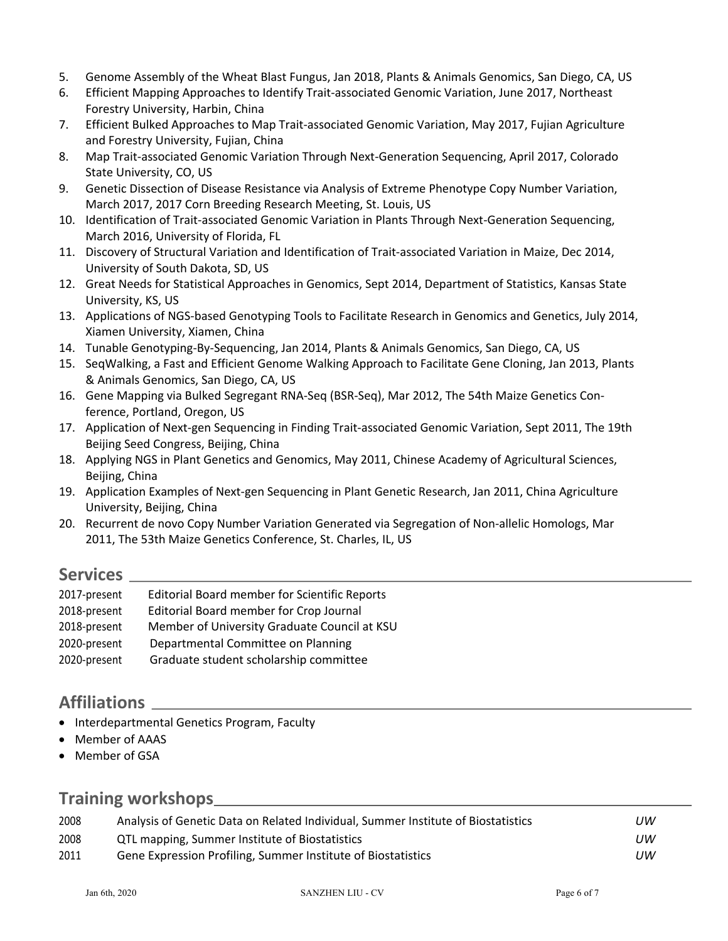- 5. Genome Assembly of the Wheat Blast Fungus, Jan 2018, Plants & Animals Genomics, San Diego, CA, US
- 6. Efficient Mapping Approaches to Identify Trait-associated Genomic Variation, June 2017, Northeast Forestry University, Harbin, China
- 7. Efficient Bulked Approaches to Map Trait-associated Genomic Variation, May 2017, Fujian Agriculture and Forestry University, Fujian, China
- 8. Map Trait-associated Genomic Variation Through Next-Generation Sequencing, April 2017, Colorado State University, CO, US
- 9. Genetic Dissection of Disease Resistance via Analysis of Extreme Phenotype Copy Number Variation, March 2017, 2017 Corn Breeding Research Meeting, St. Louis, US
- 10. Identification of Trait-associated Genomic Variation in Plants Through Next-Generation Sequencing, March 2016, University of Florida, FL
- 11. Discovery of Structural Variation and Identification of Trait-associated Variation in Maize, Dec 2014, University of South Dakota, SD, US
- 12. Great Needs for Statistical Approaches in Genomics, Sept 2014, Department of Statistics, Kansas State University, KS, US
- 13. Applications of NGS-based Genotyping Tools to Facilitate Research in Genomics and Genetics, July 2014, Xiamen University, Xiamen, China
- 14. Tunable Genotyping-By-Sequencing, Jan 2014, Plants & Animals Genomics, San Diego, CA, US
- 15. SeqWalking, a Fast and Efficient Genome Walking Approach to Facilitate Gene Cloning, Jan 2013, Plants & Animals Genomics, San Diego, CA, US
- 16. Gene Mapping via Bulked Segregant RNA-Seq (BSR-Seq), Mar 2012, The 54th Maize Genetics Conference, Portland, Oregon, US
- 17. Application of Next-gen Sequencing in Finding Trait-associated Genomic Variation, Sept 2011, The 19th Beijing Seed Congress, Beijing, China
- 18. Applying NGS in Plant Genetics and Genomics, May 2011, Chinese Academy of Agricultural Sciences, Beijing, China
- 19. Application Examples of Next-gen Sequencing in Plant Genetic Research, Jan 2011, China Agriculture University, Beijing, China
- 20. Recurrent de novo Copy Number Variation Generated via Segregation of Non-allelic Homologs, Mar 2011, The 53th Maize Genetics Conference, St. Charles, IL, US

#### **Services**

| 2017-present | <b>Editorial Board member for Scientific Reports</b> |
|--------------|------------------------------------------------------|
| 2018-present | Editorial Board member for Crop Journal              |
| 2018-present | Member of University Graduate Council at KSU         |
|              |                                                      |
| 2020-present | Departmental Committee on Planning                   |
| 2020-present | Graduate student scholarship committee               |

#### **Affiliations**

- Interdepartmental Genetics Program, Faculty
- Member of AAAS
- Member of GSA

# **Training workshops**

| 2008 | Analysis of Genetic Data on Related Individual, Summer Institute of Biostatistics | UW  |
|------|-----------------------------------------------------------------------------------|-----|
| 2008 | QTL mapping, Summer Institute of Biostatistics                                    | UW. |
| 2011 | Gene Expression Profiling, Summer Institute of Biostatistics                      | UW  |